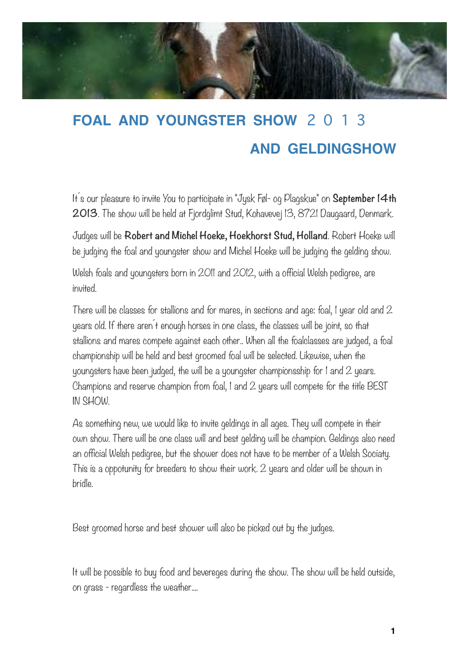

## **FOAL AND YOUNGSTER SHOW** 2 0 1 3 **AND GELDINGSHOW**

It´s our pleasure to invite You to participate in "Jysk Føl- og Plagskue" on **September 14th 2013**. The show will be held at Fjordglimt Stud, Kohavevej 13, 8721 Daugaard, Denmark.

Judges will be **Robert and Michel Hoeke, Hoekhorst Stud, Holland**. Robert Hoeke will be judging the foal and youngster show and Michel Hoeke will be judging the gelding show.

Welsh foals and youngsters born in 2011 and 2012, with a official Welsh pedigree, are invited.

There will be classes for stallions and for mares, in sections and age: foal, 1 year old and 2 years old. If there aren´t enough horses in one class, the classes will be joint, so that stallions and mares compete against each other.. When all the foalclasses are judged, a foal championship will be held and best groomed foal will be selected. Likewise, when the youngsters have been judged, the will be a youngster championsship for 1 and 2 years. Champions and reserve champion from foal, 1 and 2 years will compete for the title BEST IN SHOW.

As something new, we would like to invite geldings in all ages. They will compete in their own show. There will be one class will and best gelding will be champion. Geldings also need an official Welsh pedigree, but the shower does not have to be member of a Welsh Sociaty. This is a oppotunity for breeders to show their work. 2 years and older will be shown in bridle.

Best groomed horse and best shower will also be picked out by the judges.

It will be possible to buy food and bevereges during the show. The show will be held outside, on grass - regardless the weather....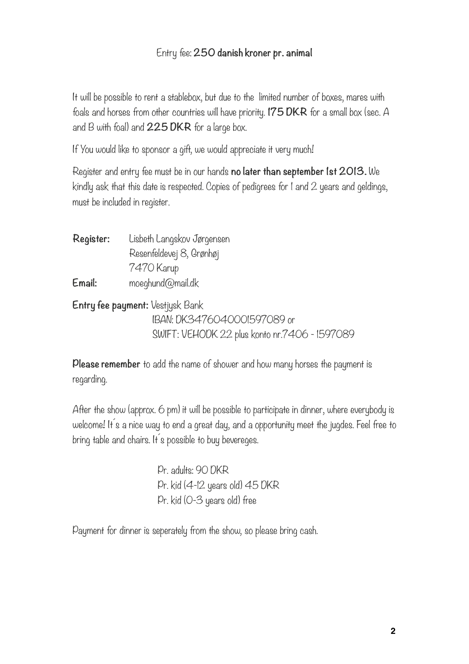## Entry fee: **250 danish kroner pr. animal**

It will be possible to rent a stablebox, but due to the limited number of boxes, mares with foals and horses from other countries will have priority. **175 DKR** for a small box (sec. A and B with foal) and **225 DKR** for a large box.

If You would like to sponsor a gift, we would appreciate it very much!

Register and entry fee must be in our hands **no later than september 1st 2013.** We kindly ask that this date is respected. Copies of pedigrees for 1 and 2 years and geldings, must be included in register.

**Register:** Lisbeth Langskov Jørgensen Resenfeldevej 8, Grønhøj 7470 Karup **Email:** moeghund@mail.dk **Entry fee payment:** Vestjysk Bank

 IBAN: DK3476040001597089 or SWIFT: VEHODK 22 plus konto nr.7406 - 1597089

**Please remember** to add the name of shower and how many horses the payment is regarding.

After the show (approx. 6 pm) it will be possible to participate in dinner, where everybody is welcome! It s a nice way to end a great day, and a opportunity meet the jugdes. Feel free to bring table and chairs. It a possible to buy bevereges.

> Pr. adults: 90 DKR Pr. kid (4-12 years old) 45 DKR Pr. kid (0-3 years old) free

Payment for dinner is seperately from the show, so please bring cash.